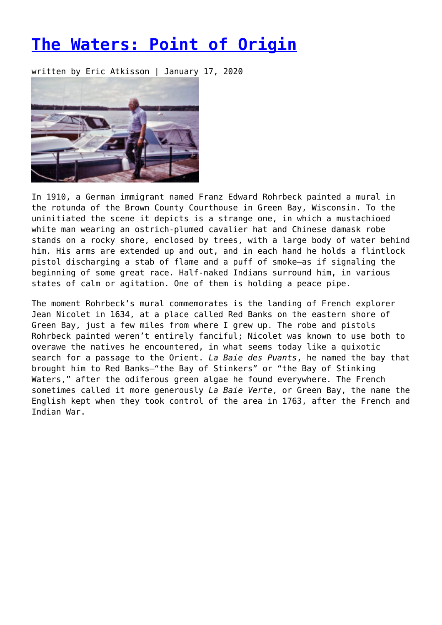## **[The Waters: Point of Origin](https://entropymag.org/the-waters-point-of-origin/)**

written by Eric Atkisson | January 17, 2020



In 1910, a German immigrant named Franz Edward Rohrbeck painted a mural in the rotunda of the Brown County Courthouse in Green Bay, Wisconsin. To the uninitiated the scene it depicts is a strange one, in which a mustachioed white man wearing an ostrich-plumed cavalier hat and Chinese damask robe stands on a rocky shore, enclosed by trees, with a large body of water behind him. His arms are extended up and out, and in each hand he holds a flintlock pistol discharging a stab of flame and a puff of smoke—as if signaling the beginning of some great race. Half-naked Indians surround him, in various states of calm or agitation. One of them is holding a peace pipe.

The moment Rohrbeck's mural commemorates is the landing of French explorer Jean Nicolet in 1634, at a place called Red Banks on the eastern shore of Green Bay, just a few miles from where I grew up. The robe and pistols Rohrbeck painted weren't entirely fanciful; Nicolet was known to use both to overawe the natives he encountered, in what seems today like a quixotic search for a passage to the Orient. *La Baie des Puants*, he named the bay that brought him to Red Banks—"the Bay of Stinkers" or "the Bay of Stinking Waters," after the odiferous green algae he found everywhere. The French sometimes called it more generously *La Baie Verte*, or Green Bay, the name the English kept when they took control of the area in 1763, after the French and Indian War.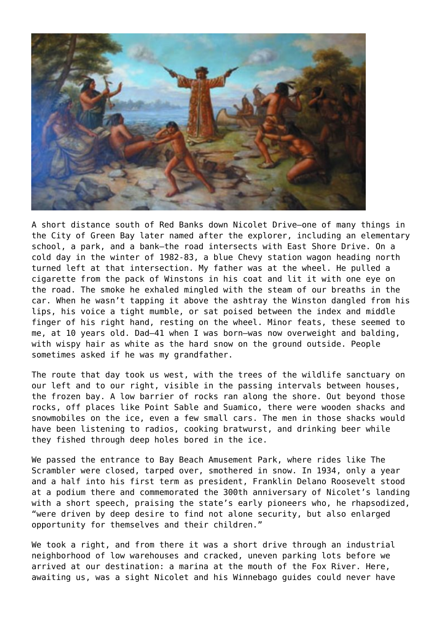

A short distance south of Red Banks down Nicolet Drive—one of many things in the City of Green Bay later named after the explorer, including an elementary school, a park, and a bank—the road intersects with East Shore Drive. On a cold day in the winter of 1982-83, a blue Chevy station wagon heading north turned left at that intersection. My father was at the wheel. He pulled a cigarette from the pack of Winstons in his coat and lit it with one eye on the road. The smoke he exhaled mingled with the steam of our breaths in the car. When he wasn't tapping it above the ashtray the Winston dangled from his lips, his voice a tight mumble, or sat poised between the index and middle finger of his right hand, resting on the wheel. Minor feats, these seemed to me, at 10 years old. Dad—41 when I was born—was now overweight and balding, with wispy hair as white as the hard snow on the ground outside. People sometimes asked if he was my grandfather.

The route that day took us west, with the trees of the wildlife sanctuary on our left and to our right, visible in the passing intervals between houses, the frozen bay. A low barrier of rocks ran along the shore. Out beyond those rocks, off places like Point Sable and Suamico, there were wooden shacks and snowmobiles on the ice, even a few small cars. The men in those shacks would have been listening to radios, cooking bratwurst, and drinking beer while they fished through deep holes bored in the ice.

We passed the entrance to Bay Beach Amusement Park, where rides like The Scrambler were closed, tarped over, smothered in snow. In 1934, only a year and a half into his first term as president, Franklin Delano Roosevelt stood at a podium there and commemorated the 300th anniversary of Nicolet's landing with a short speech, praising the state's early pioneers who, he rhapsodized, "were driven by deep desire to find not alone security, but also enlarged opportunity for themselves and their children."

We took a right, and from there it was a short drive through an industrial neighborhood of low warehouses and cracked, uneven parking lots before we arrived at our destination: a marina at the mouth of the Fox River. Here, awaiting us, was a sight Nicolet and his Winnebago guides could never have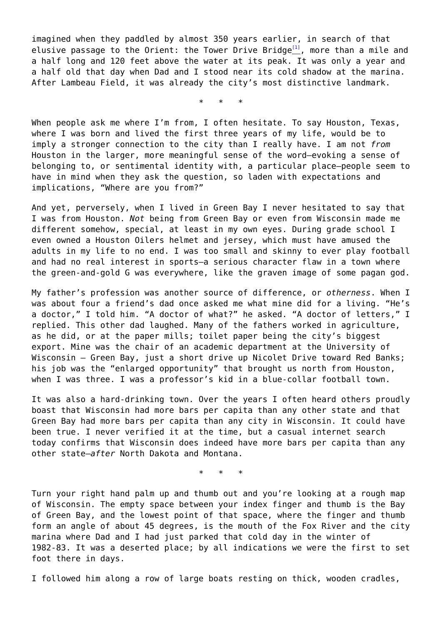<span id="page-2-0"></span>imagined when they paddled by almost 350 years earlier, in search of that elusive passage to the Orient: the Tower Drive Bridge $\frac{1}{n}$ , more than a mile and a half long and 120 feet above the water at its peak. It was only a year and a half old that day when Dad and I stood near its cold shadow at the marina. After Lambeau Field, it was already the city's most distinctive landmark.

\* \* \*

When people ask me where I'm from, I often hesitate. To say Houston, Texas, where I was born and lived the first three years of my life, would be to imply a stronger connection to the city than I really have. I am not *from* Houston in the larger, more meaningful sense of the word—evoking a sense of belonging to, or sentimental identity with, a particular place—people seem to have in mind when they ask the question, so laden with expectations and implications, "Where are you from?"

And yet, perversely, when I lived in Green Bay I never hesitated to say that I was from Houston. *Not* being from Green Bay or even from Wisconsin made me different somehow, special, at least in my own eyes. During grade school I even owned a Houston Oilers helmet and jersey, which must have amused the adults in my life to no end. I was too small and skinny to ever play football and had no real interest in sports—a serious character flaw in a town where the green-and-gold G was everywhere, like the graven image of some pagan god.

My father's profession was another source of difference, or *otherness*. When I was about four a friend's dad once asked me what mine did for a living. "He's a doctor," I told him. "A doctor of what?" he asked. "A doctor of letters," I replied. This other dad laughed. Many of the fathers worked in agriculture, as he did, or at the paper mills; toilet paper being the city's biggest export. Mine was the chair of an academic department at the University of Wisconsin – Green Bay, just a short drive up Nicolet Drive toward Red Banks; his job was the "enlarged opportunity" that brought us north from Houston, when I was three. I was a professor's kid in a blue-collar football town.

It was also a hard-drinking town. Over the years I often heard others proudly boast that Wisconsin had more bars per capita than any other state and that Green Bay had more bars per capita than any city in Wisconsin. It could have been true. I never verified it at the time, but a casual internet search today confirms that Wisconsin does indeed have more bars per capita than any other state—*after* North Dakota and Montana.

\* \* \*

Turn your right hand palm up and thumb out and you're looking at a rough map of Wisconsin. The empty space between your index finger and thumb is the Bay of Green Bay, and the lowest point of that space, where the finger and thumb form an angle of about 45 degrees, is the mouth of the Fox River and the city marina where Dad and I had just parked that cold day in the winter of 1982-83. It was a deserted place; by all indications we were the first to set foot there in days.

I followed him along a row of large boats resting on thick, wooden cradles,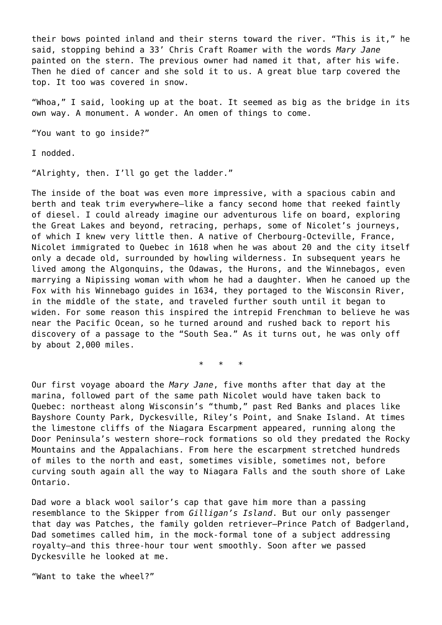their bows pointed inland and their sterns toward the river. "This is it," he said, stopping behind a 33' Chris Craft Roamer with the words *Mary Jane* painted on the stern. The previous owner had named it that, after his wife. Then he died of cancer and she sold it to us. A great blue tarp covered the top. It too was covered in snow.

"Whoa," I said, looking up at the boat. It seemed as big as the bridge in its own way. A monument. A wonder. An omen of things to come.

"You want to go inside?"

I nodded.

"Alrighty, then. I'll go get the ladder."

The inside of the boat was even more impressive, with a spacious cabin and berth and teak trim everywhere—like a fancy second home that reeked faintly of diesel. I could already imagine our adventurous life on board, exploring the Great Lakes and beyond, retracing, perhaps, some of Nicolet's journeys, of which I knew very little then. A native of Cherbourg-Octeville, France, Nicolet immigrated to Quebec in 1618 when he was about 20 and the city itself only a decade old, surrounded by howling wilderness. In subsequent years he lived among the Algonquins, the Odawas, the Hurons, and the Winnebagos, even marrying a Nipissing woman with whom he had a daughter. When he canoed up the Fox with his Winnebago guides in 1634, they portaged to the Wisconsin River, in the middle of the state, and traveled further south until it began to widen. For some reason this inspired the intrepid Frenchman to believe he was near the Pacific Ocean, so he turned around and rushed back to report his discovery of a passage to the "South Sea." As it turns out, he was only off by about 2,000 miles.

\* \* \*

Our first voyage aboard the *Mary Jane*, five months after that day at the marina, followed part of the same path Nicolet would have taken back to Quebec: northeast along Wisconsin's "thumb," past Red Banks and places like Bayshore County Park, Dyckesville, Riley's Point, and Snake Island. At times the limestone cliffs of the Niagara Escarpment appeared, running along the Door Peninsula's western shore—rock formations so old they predated the Rocky Mountains and the Appalachians. From here the escarpment stretched hundreds of miles to the north and east, sometimes visible, sometimes not, before curving south again all the way to Niagara Falls and the south shore of Lake Ontario.

Dad wore a black wool sailor's cap that gave him more than a passing resemblance to the Skipper from *Gilligan's Island*. But our only passenger that day was Patches, the family golden retriever—Prince Patch of Badgerland, Dad sometimes called him, in the mock-formal tone of a subject addressing royalty—and this three-hour tour went smoothly. Soon after we passed Dyckesville he looked at me.

"Want to take the wheel?"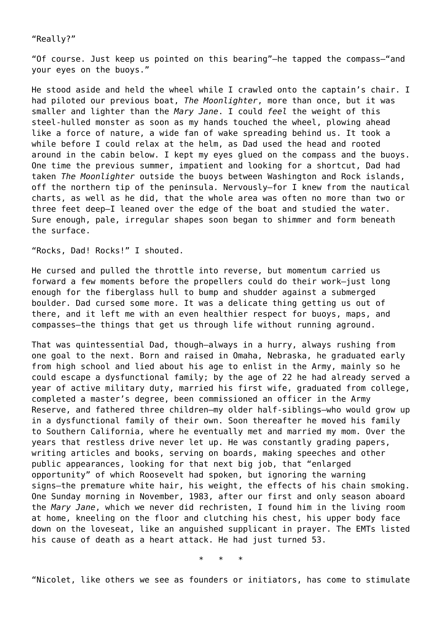"Really?"

"Of course. Just keep us pointed on this bearing"—he tapped the compass—"and your eyes on the buoys."

He stood aside and held the wheel while I crawled onto the captain's chair. I had piloted our previous boat, *The Moonlighter*, more than once, but it was smaller and lighter than the *Mary Jane*. I could *feel* the weight of this steel-hulled monster as soon as my hands touched the wheel, plowing ahead like a force of nature, a wide fan of wake spreading behind us. It took a while before I could relax at the helm, as Dad used the head and rooted around in the cabin below. I kept my eyes glued on the compass and the buoys. One time the previous summer, impatient and looking for a shortcut, Dad had taken *The Moonlighter* outside the buoys between Washington and Rock islands, off the northern tip of the peninsula. Nervously—for I knew from the nautical charts, as well as he did, that the whole area was often no more than two or three feet deep—I leaned over the edge of the boat and studied the water. Sure enough, pale, irregular shapes soon began to shimmer and form beneath the surface.

"Rocks, Dad! Rocks!" I shouted.

He cursed and pulled the throttle into reverse, but momentum carried us forward a few moments before the propellers could do their work—just long enough for the fiberglass hull to bump and shudder against a submerged boulder. Dad cursed some more. It was a delicate thing getting us out of there, and it left me with an even healthier respect for buoys, maps, and compasses—the things that get us through life without running aground.

That was quintessential Dad, though—always in a hurry, always rushing from one goal to the next. Born and raised in Omaha, Nebraska, he graduated early from high school and lied about his age to enlist in the Army, mainly so he could escape a dysfunctional family; by the age of 22 he had already served a year of active military duty, married his first wife, graduated from college, completed a master's degree, been commissioned an officer in the Army Reserve, and fathered three children—my older half-siblings—who would grow up in a dysfunctional family of their own. Soon thereafter he moved his family to Southern California, where he eventually met and married my mom. Over the years that restless drive never let up. He was constantly grading papers, writing articles and books, serving on boards, making speeches and other public appearances, looking for that next big job, that "enlarged opportunity" of which Roosevelt had spoken, but ignoring the warning signs—the premature white hair, his weight, the effects of his chain smoking. One Sunday morning in November, 1983, after our first and only season aboard the *Mary Jane*, which we never did rechristen, I found him in the living room at home, kneeling on the floor and clutching his chest, his upper body face down on the loveseat, like an anguished supplicant in prayer. The EMTs listed his cause of death as a heart attack. He had just turned 53.

\* \* \*

"Nicolet, like others we see as founders or initiators, has come to stimulate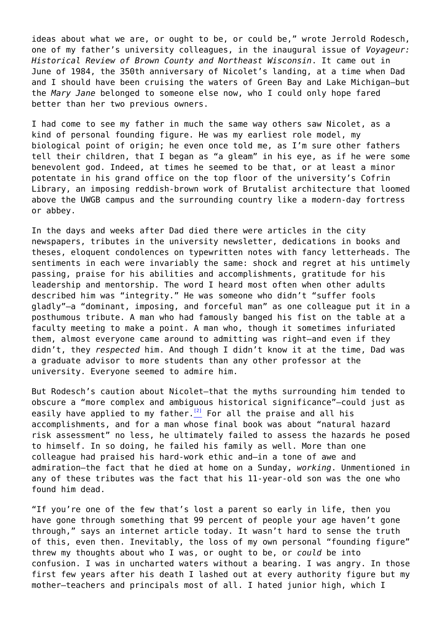ideas about what we are, or ought to be, or could be," wrote Jerrold Rodesch, one of my father's university colleagues, in the inaugural issue of *Voyageur: Historical Review of Brown County and Northeast Wisconsin*. It came out in June of 1984, the 350th anniversary of Nicolet's landing, at a time when Dad and I should have been cruising the waters of Green Bay and Lake Michigan—but the *Mary Jane* belonged to someone else now, who I could only hope fared better than her two previous owners.

I had come to see my father in much the same way others saw Nicolet, as a kind of personal founding figure. He was my earliest role model, my biological point of origin; he even once told me, as I'm sure other fathers tell their children, that I began as "a gleam" in his eye, as if he were some benevolent god. Indeed, at times he seemed to be that, or at least a minor potentate in his grand office on the top floor of the university's Cofrin Library, an imposing reddish-brown work of Brutalist architecture that loomed above the UWGB campus and the surrounding country like a modern-day fortress or abbey.

In the days and weeks after Dad died there were articles in the city newspapers, tributes in the university newsletter, dedications in books and theses, eloquent condolences on typewritten notes with fancy letterheads. The sentiments in each were invariably the same: shock and regret at his untimely passing, praise for his abilities and accomplishments, gratitude for his leadership and mentorship. The word I heard most often when other adults described him was "integrity." He was someone who didn't "suffer fools gladly"—a "dominant, imposing, and forceful man" as one colleague put it in a posthumous tribute. A man who had famously banged his fist on the table at a faculty meeting to make a point. A man who, though it sometimes infuriated them, almost everyone came around to admitting was right—and even if they didn't, they *respected* him. And though I didn't know it at the time, Dad was a graduate advisor to more students than any other professor at the university. Everyone seemed to admire him.

<span id="page-5-0"></span>But Rodesch's caution about Nicolet—that the myths surrounding him tended to obscure a "more complex and ambiguous historical significance"—could just as easily have applied to my father. $[2]$  For all the praise and all his accomplishments, and for a man whose final book was about "natural hazard risk assessment" no less, he ultimately failed to assess the hazards he posed to himself. In so doing, he failed his family as well. More than one colleague had praised his hard-work ethic and—in a tone of awe and admiration—the fact that he died at home on a Sunday, *working*. Unmentioned in any of these tributes was the fact that his 11-year-old son was the one who found him dead.

"If you're one of the few that's lost a parent so early in life, then you have gone through something that 99 percent of people your age haven't gone through," says an internet article today. It wasn't hard to sense the truth of this, even then. Inevitably, the loss of my own personal "founding figure" threw my thoughts about who I was, or ought to be, or *could* be into confusion. I was in uncharted waters without a bearing. I was angry. In those first few years after his death I lashed out at every authority figure but my mother—teachers and principals most of all. I hated junior high, which I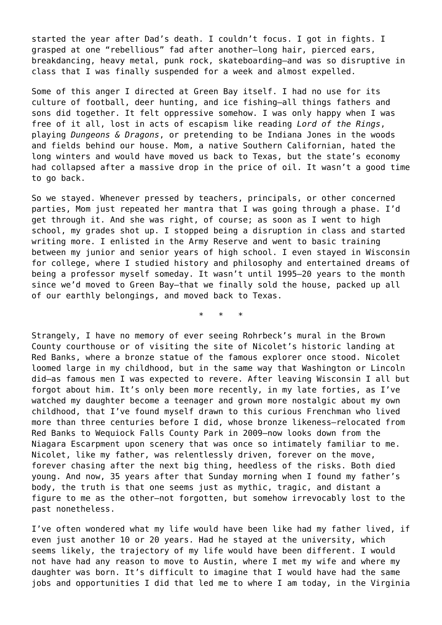started the year after Dad's death. I couldn't focus. I got in fights. I grasped at one "rebellious" fad after another—long hair, pierced ears, breakdancing, heavy metal, punk rock, skateboarding—and was so disruptive in class that I was finally suspended for a week and almost expelled.

Some of this anger I directed at Green Bay itself. I had no use for its culture of football, deer hunting, and ice fishing—all things fathers and sons did together. It felt oppressive somehow. I was only happy when I was free of it all, lost in acts of escapism like reading *Lord of the Rings*, playing *Dungeons & Dragons*, or pretending to be Indiana Jones in the woods and fields behind our house. Mom, a native Southern Californian, hated the long winters and would have moved us back to Texas, but the state's economy had collapsed after a massive drop in the price of oil. It wasn't a good time to go back.

So we stayed. Whenever pressed by teachers, principals, or other concerned parties, Mom just repeated her mantra that I was going through a phase. I'd get through it. And she was right, of course; as soon as I went to high school, my grades shot up. I stopped being a disruption in class and started writing more. I enlisted in the Army Reserve and went to basic training between my junior and senior years of high school. I even stayed in Wisconsin for college, where I studied history and philosophy and entertained dreams of being a professor myself someday. It wasn't until 1995—20 years to the month since we'd moved to Green Bay—that we finally sold the house, packed up all of our earthly belongings, and moved back to Texas.

\* \* \*

Strangely, I have no memory of ever seeing Rohrbeck's mural in the Brown County courthouse or of visiting the site of Nicolet's historic landing at Red Banks, where a bronze statue of the famous explorer once stood. Nicolet loomed large in my childhood, but in the same way that Washington or Lincoln did—as famous men I was expected to revere. After leaving Wisconsin I all but forgot about him. It's only been more recently, in my late forties, as I've watched my daughter become a teenager and grown more nostalgic about my own childhood, that I've found myself drawn to this curious Frenchman who lived more than three centuries before I did, whose bronze likeness—relocated from Red Banks to Wequiock Falls County Park in 2009—now looks down from the Niagara Escarpment upon scenery that was once so intimately familiar to me. Nicolet, like my father, was relentlessly driven, forever on the move, forever chasing after the next big thing, heedless of the risks. Both died young. And now, 35 years after that Sunday morning when I found my father's body, the truth is that one seems just as mythic, tragic, and distant a figure to me as the other—not forgotten, but somehow irrevocably lost to the past nonetheless.

I've often wondered what my life would have been like had my father lived, if even just another 10 or 20 years. Had he stayed at the university, which seems likely, the trajectory of my life would have been different. I would not have had any reason to move to Austin, where I met my wife and where my daughter was born. It's difficult to imagine that I would have had the same jobs and opportunities I did that led me to where I am today, in the Virginia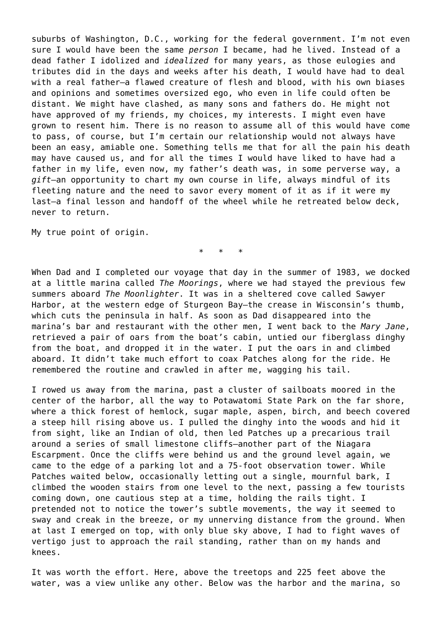suburbs of Washington, D.C., working for the federal government. I'm not even sure I would have been the same *person* I became, had he lived. Instead of a dead father I idolized and *idealized* for many years, as those eulogies and tributes did in the days and weeks after his death, I would have had to deal with a real father—a flawed creature of flesh and blood, with his own biases and opinions and sometimes oversized ego, who even in life could often be distant. We might have clashed, as many sons and fathers do. He might not have approved of my friends, my choices, my interests. I might even have grown to resent him. There is no reason to assume all of this would have come to pass, of course, but I'm certain our relationship would not always have been an easy, amiable one. Something tells me that for all the pain his death may have caused us, and for all the times I would have liked to have had a father in my life, even now, my father's death was, in some perverse way, a *gift*—an opportunity to chart my own course in life, always mindful of its fleeting nature and the need to savor every moment of it as if it were my last—a final lesson and handoff of the wheel while he retreated below deck, never to return.

My true point of origin.

\* \* \*

When Dad and I completed our voyage that day in the summer of 1983, we docked at a little marina called *The Moorings*, where we had stayed the previous few summers aboard *The Moonlighter*. It was in a sheltered cove called Sawyer Harbor, at the western edge of Sturgeon Bay-the crease in Wisconsin's thumb, which cuts the peninsula in half. As soon as Dad disappeared into the marina's bar and restaurant with the other men, I went back to the *Mary Jane*, retrieved a pair of oars from the boat's cabin, untied our fiberglass dinghy from the boat, and dropped it in the water. I put the oars in and climbed aboard. It didn't take much effort to coax Patches along for the ride. He remembered the routine and crawled in after me, wagging his tail.

I rowed us away from the marina, past a cluster of sailboats moored in the center of the harbor, all the way to Potawatomi State Park on the far shore, where a thick forest of hemlock, sugar maple, aspen, birch, and beech covered a steep hill rising above us. I pulled the dinghy into the woods and hid it from sight, like an Indian of old, then led Patches up a precarious trail around a series of small limestone cliffs—another part of the Niagara Escarpment. Once the cliffs were behind us and the ground level again, we came to the edge of a parking lot and a 75-foot observation tower. While Patches waited below, occasionally letting out a single, mournful bark, I climbed the wooden stairs from one level to the next, passing a few tourists coming down, one cautious step at a time, holding the rails tight. I pretended not to notice the tower's subtle movements, the way it seemed to sway and creak in the breeze, or my unnerving distance from the ground. When at last I emerged on top, with only blue sky above, I had to fight waves of vertigo just to approach the rail standing, rather than on my hands and knees.

It was worth the effort. Here, above the treetops and 225 feet above the water, was a view unlike any other. Below was the harbor and the marina, so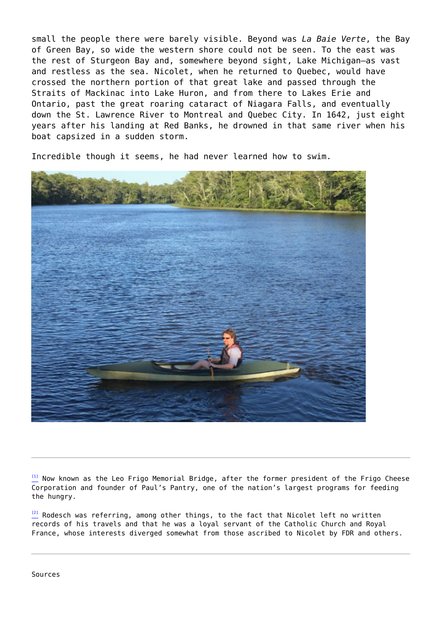small the people there were barely visible. Beyond was *La Baie Verte*, the Bay of Green Bay, so wide the western shore could not be seen. To the east was the rest of Sturgeon Bay and, somewhere beyond sight, Lake Michigan—as vast and restless as the sea. Nicolet, when he returned to Quebec, would have crossed the northern portion of that great lake and passed through the Straits of Mackinac into Lake Huron, and from there to Lakes Erie and Ontario, past the great roaring cataract of Niagara Falls, and eventually down the St. Lawrence River to Montreal and Quebec City. In 1642, just eight years after his landing at Red Banks, he drowned in that same river when his boat capsized in a sudden storm.

Incredible though it seems, he had never learned how to swim.



<span id="page-8-0"></span> $\frac{11}{2}$  Now known as the Leo Frigo Memorial Bridge, after the former president of the Frigo Cheese Corporation and founder of Paul's Pantry, one of the nation's largest programs for feeding the hungry.

<span id="page-8-1"></span> $^{[2]}$  $^{[2]}$  $^{[2]}$  Rodesch was referring, among other things, to the fact that Nicolet left no written records of his travels and that he was a loyal servant of the Catholic Church and Royal France, whose interests diverged somewhat from those ascribed to Nicolet by FDR and others.